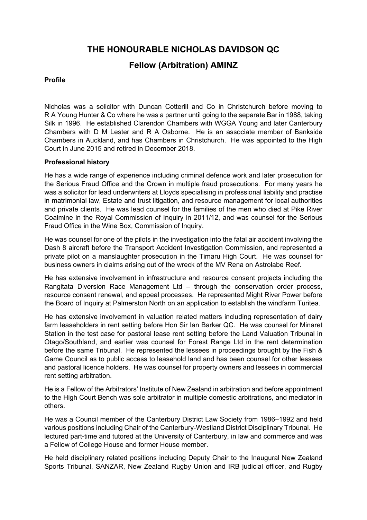**THE HONOURABLE NICHOLAS DAVIDSON QC** 

## **Fellow (Arbitration) AMINZ**

## **Profile**

Nicholas was a solicitor with Duncan Cotterill and Co in Christchurch before moving to R A Young Hunter & Co where he was a partner until going to the separate Bar in 1988, taking Silk in 1996. He established Clarendon Chambers with WGGA Young and later Canterbury Chambers with D M Lester and R A Osborne. He is an associate member of Bankside Chambers in Auckland, and has Chambers in Christchurch. He was appointed to the High Court in June 2015 and retired in December 2018.

## **Professional history**

He has a wide range of experience including criminal defence work and later prosecution for the Serious Fraud Office and the Crown in multiple fraud prosecutions. For many years he was a solicitor for lead underwriters at Lloyds specialising in professional liability and practise in matrimonial law, Estate and trust litigation, and resource management for local authorities and private clients. He was lead counsel for the families of the men who died at Pike River Coalmine in the Royal Commission of Inquiry in 2011/12, and was counsel for the Serious Fraud Office in the Wine Box, Commission of Inquiry.

He was counsel for one of the pilots in the investigation into the fatal air accident involving the Dash 8 aircraft before the Transport Accident Investigation Commission, and represented a private pilot on a manslaughter prosecution in the Timaru High Court. He was counsel for business owners in claims arising out of the wreck of the MV Rena on Astrolabe Reef.

He has extensive involvement in infrastructure and resource consent projects including the Rangitata Diversion Race Management Ltd – through the conservation order process, resource consent renewal, and appeal processes. He represented Might River Power before the Board of Inquiry at Palmerston North on an application to establish the windfarm Turitea.

He has extensive involvement in valuation related matters including representation of dairy farm leaseholders in rent setting before Hon Sir Ian Barker QC. He was counsel for Minaret Station in the test case for pastoral lease rent setting before the Land Valuation Tribunal in Otago/Southland, and earlier was counsel for Forest Range Ltd in the rent determination before the same Tribunal. He represented the lessees in proceedings brought by the Fish & Game Council as to public access to leasehold land and has been counsel for other lessees and pastoral licence holders. He was counsel for property owners and lessees in commercial rent setting arbitration.

He is a Fellow of the Arbitrators' Institute of New Zealand in arbitration and before appointment to the High Court Bench was sole arbitrator in multiple domestic arbitrations, and mediator in others.

He was a Council member of the Canterbury District Law Society from 1986–1992 and held various positions including Chair of the Canterbury-Westland District Disciplinary Tribunal. He lectured part-time and tutored at the University of Canterbury, in law and commerce and was a Fellow of College House and former House member.

He held disciplinary related positions including Deputy Chair to the Inaugural New Zealand Sports Tribunal, SANZAR, New Zealand Rugby Union and IRB judicial officer, and Rugby